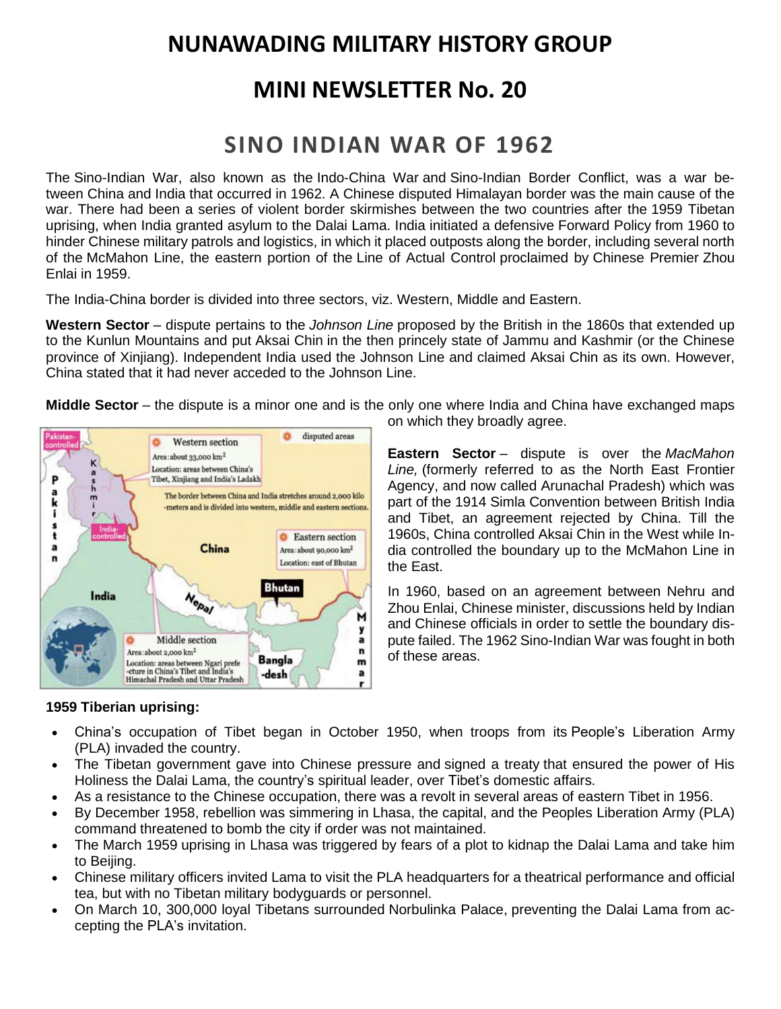# **NUNAWADING MILITARY HISTORY GROUP**

## **MINI NEWSLETTER No. 20**

# **SINO INDIAN WAR OF 1962**

The Sino-Indian War, also known as the Indo-China War and Sino-Indian Border Conflict, was a war between [China](https://en.wikipedia.org/wiki/China) and [India](https://en.wikipedia.org/wiki/India) that occurred in 1962. A Chinese disputed [Himalayan](https://en.wikipedia.org/wiki/Himalayas) border was the main cause of the war. There had been a series of violent border skirmishes between the two countries after the [1959 Tibetan](https://en.wikipedia.org/wiki/1959_Tibetan_uprising)  [uprising,](https://en.wikipedia.org/wiki/1959_Tibetan_uprising) when India granted asylum to the [Dalai Lama.](https://en.wikipedia.org/wiki/14th_Dalai_Lama) India initiated a defensive [Forward Policy](https://en.wikipedia.org/wiki/Events_leading_to_the_Sino-Indian_War#Forward_policy) from 1960 to hinder Chinese military patrols and logistics, in which it placed outposts along the border, including several north of the [McMahon Line,](https://en.wikipedia.org/wiki/McMahon_Line) the eastern portion of the [Line of Actual Control](https://en.wikipedia.org/wiki/Line_of_Actual_Control) proclaimed by [Chinese Premier](https://en.wikipedia.org/wiki/Premier_of_the_People%27s_Republic_of_China) [Zhou](https://en.wikipedia.org/wiki/Zhou_Enlai)  [Enlai](https://en.wikipedia.org/wiki/Zhou_Enlai) in 1959.

The India-China border is divided into three sectors, viz. Western, Middle and Eastern.

**Western Sector** – dispute pertains to the *Johnson Line* proposed by the British in the 1860s that extended up to the Kunlun Mountains and put Aksai Chin in the then princely state of Jammu and Kashmir (or the Chinese province of Xinjiang). Independent India used the Johnson Line and claimed Aksai Chin as its own. However, China stated that it had never acceded to the Johnson Line.

**Middle Sector** – the dispute is a minor one and is the only one where India and China have exchanged maps



on which they broadly agree.

**Eastern Sector** – dispute is over the *MacMahon Line,* (formerly referred to as the North East Frontier Agency, and now called Arunachal Pradesh) which was part of the 1914 Simla Convention between British India and Tibet, an agreement rejected by China. Till the 1960s, China controlled Aksai Chin in the West while India controlled the boundary up to the McMahon Line in the East.

In 1960, based on an agreement between Nehru and Zhou Enlai, Chinese minister, discussions held by Indian and Chinese officials in order to settle the boundary dispute failed. The 1962 Sino-Indian War was fought in both of these areas.

### **1959 Tiberian uprising:**

- China's occupation of Tibet began in October 1950, when troops from its People's Liberation Army (PLA) invaded the country.
- The Tibetan government gave into Chinese pressure and signed a treaty that ensured the power of His Holiness the Dalai Lama, the country's spiritual leader, over Tibet's domestic affairs.
- As a resistance to the Chinese occupation, there was a revolt in several areas of eastern Tibet in 1956.
- By December 1958, rebellion was simmering in Lhasa, the capital, and the Peoples Liberation Army (PLA) command threatened to bomb the city if order was not maintained.
- The March 1959 uprising in Lhasa was triggered by fears of a plot to kidnap the Dalai Lama and take him to Beijing.
- Chinese military officers invited Lama to visit the PLA headquarters for a theatrical performance and official tea, but with no Tibetan military bodyguards or personnel.
- On March 10, 300,000 loyal Tibetans surrounded Norbulinka Palace, preventing the Dalai Lama from accepting the PLA's invitation.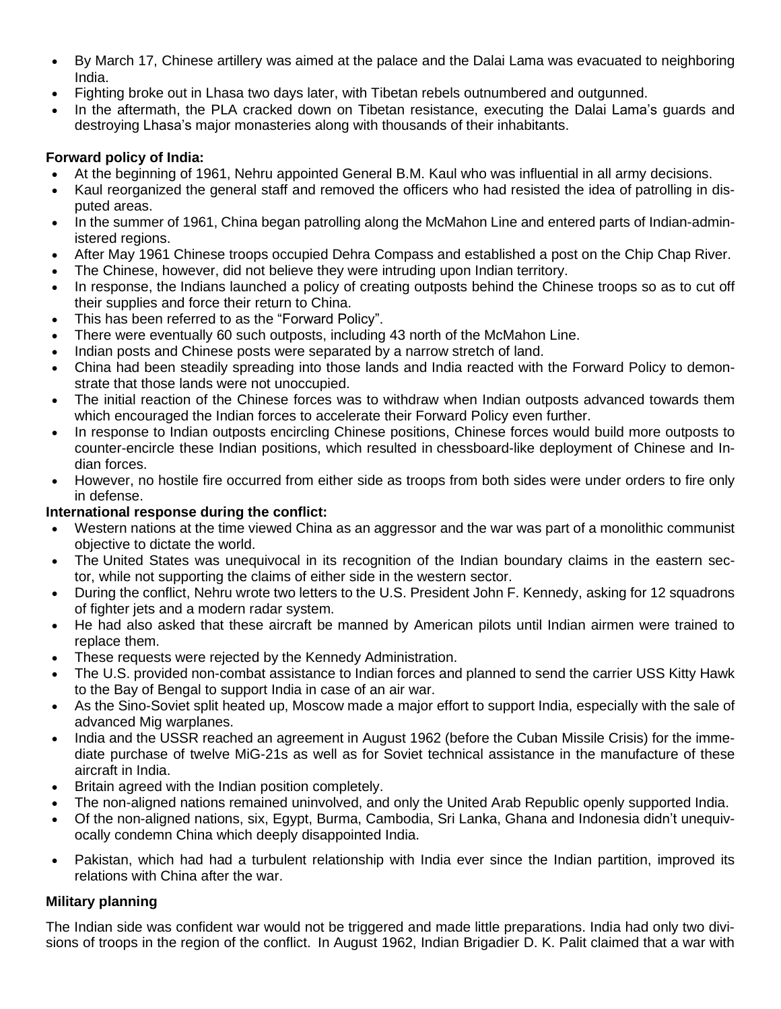- By March 17, Chinese artillery was aimed at the palace and the Dalai Lama was evacuated to neighboring India.
- Fighting broke out in Lhasa two days later, with Tibetan rebels outnumbered and outgunned.
- In the aftermath, the PLA cracked down on Tibetan resistance, executing the Dalai Lama's guards and destroying Lhasa's major monasteries along with thousands of their inhabitants.

## **Forward policy of India:**

- At the beginning of 1961, Nehru appointed General B.M. Kaul who was influential in all army decisions.
- Kaul reorganized the general staff and removed the officers who had resisted the idea of patrolling in disputed areas.
- In the summer of 1961, China began patrolling along the McMahon Line and entered parts of Indian-administered regions.
- After May 1961 Chinese troops occupied Dehra Compass and established a post on the Chip Chap River.
- The Chinese, however, did not believe they were intruding upon Indian territory.
- In response, the Indians launched a policy of creating outposts behind the Chinese troops so as to cut off their supplies and force their return to China.
- This has been referred to as the "Forward Policy".
- There were eventually 60 such outposts, including 43 north of the McMahon Line.
- Indian posts and Chinese posts were separated by a narrow stretch of land.
- China had been steadily spreading into those lands and India reacted with the Forward Policy to demonstrate that those lands were not unoccupied.
- The initial reaction of the Chinese forces was to withdraw when Indian outposts advanced towards them which encouraged the Indian forces to accelerate their Forward Policy even further.
- In response to Indian outposts encircling Chinese positions, Chinese forces would build more outposts to counter-encircle these Indian positions, which resulted in chessboard-like deployment of Chinese and Indian forces.
- However, no hostile fire occurred from either side as troops from both sides were under orders to fire only in defense.

## **International response during the conflict:**

- Western nations at the time viewed China as an aggressor and the war was part of a monolithic communist objective to dictate the world.
- The United States was unequivocal in its recognition of the Indian boundary claims in the eastern sector, while not supporting the claims of either side in the western sector.
- During the conflict, Nehru wrote two letters to the U.S. President John F. Kennedy, asking for 12 squadrons of fighter jets and a modern radar system.
- He had also asked that these aircraft be manned by American pilots until Indian airmen were trained to replace them.
- These requests were rejected by the Kennedy Administration.
- The U.S. provided non-combat assistance to Indian forces and planned to send the carrier USS Kitty Hawk to the Bay of Bengal to support India in case of an air war.
- As the Sino-Soviet split heated up, Moscow made a major effort to support India, especially with the sale of advanced Mig warplanes.
- India and the USSR reached an agreement in August 1962 (before the Cuban Missile Crisis) for the immediate purchase of twelve MiG-21s as well as for Soviet technical assistance in the manufacture of these aircraft in India.
- Britain agreed with the Indian position completely.
- The non-aligned nations remained uninvolved, and only the United Arab Republic openly supported India.
- Of the non-aligned nations, six, Egypt, Burma, Cambodia, Sri Lanka, Ghana and Indonesia didn't unequivocally condemn China which deeply disappointed India.
- Pakistan, which had had a turbulent relationship with India ever since the Indian partition, improved its relations with China after the war.

## **Military planning**

The Indian side was confident war would not be triggered and made little preparations. India had only two divisions of troops in the region of the conflict[.](https://en.wikipedia.org/wiki/Sino-Indian_War#cite_note-Swaminathan-75) In August 1962, Indian Brigadier D. K. Palit claimed that a war with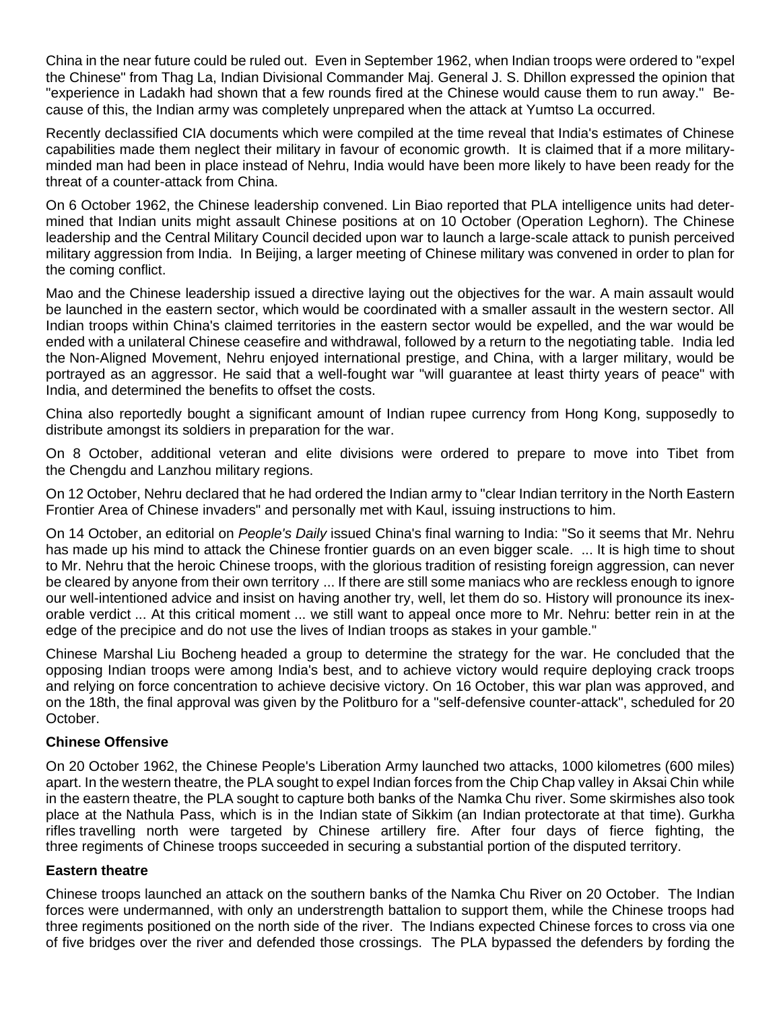China in the near future could be ruled out. Even in September 1962, when Indian troops were ordered to "expel the Chinese" from Thag La, Indian Divisional Commander Maj. General J. S. Dhillon expressed the opinion that "experience in Ladakh had shown that a few rounds fired at the Chinese would cause them to run away." Because of this, the Indian army was completely unprepared when the attack at Yumtso La occurred.

Recently declassified CIA documents which were compiled at the time reveal that India's estimates of Chinese capabilities made them neglect their military in favour of economic growth. It is claimed that if a more militaryminded man had been in place instead of Nehru, India would have been more likely to have been ready for the threat of a counter-attack from China.

On 6 October 1962, the Chinese leadership convened. [Lin Biao](https://en.wikipedia.org/wiki/Lin_Biao) reported that PLA intelligence units had determined that Indian units might assault Chinese positions at on 10 October (Operation Leghorn). The Chinese leadership and the Central Military Council decided upon war to launch a large-scale attack to punish perceived military aggression from India. In Beijing, a larger meeting of Chinese military was convened in order to plan for the coming conflict.

Mao and the Chinese leadership issued a directive laying out the objectives for the war. A main assault would be launched in the eastern sector, which would be coordinated with a smaller assault in the western sector. All Indian troops within China's claimed territories in the eastern sector would be expelled, and the war would be ended with a unilateral Chinese ceasefire and withdrawal, followed by a return to the negotiating table. India led the [Non-Aligned Movement,](https://en.wikipedia.org/wiki/Non-Aligned_Movement) Nehru enjoyed international prestige, and China, with a larger military, would be portrayed as an aggressor. He said that a well-fought war "will guarantee at least thirty years of peace" with India, and determined the benefits to offset the costs.

China also reportedly bought a significant amount of Indian rupee currency from Hong Kong, supposedly to distribute amongst its soldiers in preparation for the war.

On 8 October, additional veteran and elite divisions were ordered to prepare to move into Tibet from the [Chengdu](https://en.wikipedia.org/wiki/Chengdu_Military_Region) and [Lanzhou](https://en.wikipedia.org/wiki/Lanzhou_Military_Region) military regions.

On 12 October, Nehru declared that he had ordered the Indian army to "clear Indian territory in the North Eastern Frontier Area of Chinese invaders" and personally met with Kaul, issuing instructions to him.

On 14 October, an editorial on *People's Daily* issued China's final warning to India: "So it seems that Mr. Nehru has made up his mind to attack the Chinese frontier guards on an even bigger scale. ... It is high time to shout to Mr. Nehru that the heroic Chinese troops, with the glorious tradition of resisting foreign aggression, can never be cleared by anyone from their own territory ... If there are still some maniacs who are reckless enough to ignore our well-intentioned advice and insist on having another try, well, let them do so. History will pronounce its inexorable verdict ... At this critical moment ... we still want to appeal once more to Mr. Nehru: better rein in at the edge of the precipice and do not use the lives of Indian troops as stakes in your gamble."

Chinese Marshal [Liu Bocheng](https://en.wikipedia.org/wiki/Liu_Bocheng) headed a group to determine the strategy for the war. He concluded that the opposing Indian troops were among India's best, and to achieve victory would require deploying crack troops and relying on [force concentration](https://en.wikipedia.org/wiki/Force_concentration) to achieve decisive victory. On 16 October, this war plan was approved, and on the 18th, the final approval was given by the Politburo for a "self-defensive counter-attack", scheduled for 20 October.

### **Chinese Offensive**

On 20 October 1962, the Chinese [People's Liberation Army](https://en.wikipedia.org/wiki/People%27s_Liberation_Army) launched two attacks, 1000 [kilometres](https://en.wikipedia.org/wiki/Kilometre) (600 miles) apart. In the western theatre, the PLA sought to expel Indian forces from the [Chip Chap valley](https://en.wikipedia.org/wiki/Chip_Chap_River) in [Aksai Chin](https://en.wikipedia.org/wiki/Aksai_Chin) while in the eastern theatre, the PLA sought to capture both banks of the [Namka Chu](https://en.wikipedia.org/wiki/Namka_Chu) river. Some skirmishes also took place at the [Nathula Pass,](https://en.wikipedia.org/wiki/Nathula) which is in the Indian [state](https://en.wikipedia.org/wiki/Constituent_state) of [Sikkim](https://en.wikipedia.org/wiki/Sikkim) (an Indian [protectorate](https://en.wikipedia.org/wiki/Protectorate) at that time). [Gurkha](https://en.wikipedia.org/wiki/Gurkha)  [rifles](https://en.wikipedia.org/wiki/Gurkha) travelling north were targeted by Chinese artillery fire. After four days of fierce fighting, the three [regiments](https://en.wikipedia.org/wiki/Regiment) of Chinese troops succeeded in securing a substantial portion of the disputed territory.

### **Eastern theatre**

Chinese troops launched an attack on the southern banks of the Namka Chu River on 20 October. The Indian forces were undermanned, with only an understrength battalion to support them, while the Chinese troops had three regiments positioned on the north side of the river. The Indians expected Chinese forces to cross via one of five bridges over the river and defended those crossings. The PLA bypassed the defenders by fording the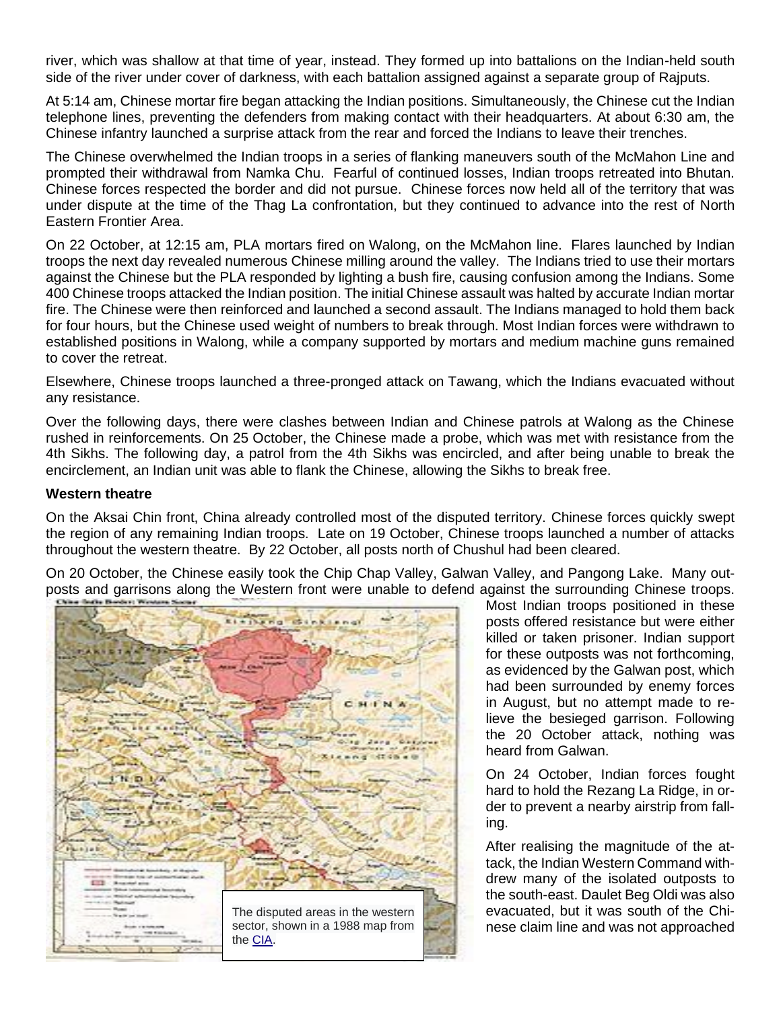river, which was shallow at that time of year, instead. They formed up into battalions on the Indian-held south side of the river under cover of darkness, with each battalion assigned against a separate group of [Rajputs.](https://en.wikipedia.org/wiki/Rajput)

At 5:14 am, Chinese mortar fire began attacking the Indian positions. Simultaneously, the Chinese cut the Indian telephone lines, preventing the defenders from making contact with their headquarters. At about 6:30 am, the Chinese infantry launched a surprise attack from the rear and forced the Indians to leave their trenches.

The Chinese overwhelmed the Indian troops in a series of flanking maneuvers south of the McMahon Line and prompted their withdrawal from Namka Chu. Fearful of continued losses, Indian troops retreated into [Bhutan.](https://en.wikipedia.org/wiki/Bhutan) Chinese forces respected the border and did not pursue. Chinese forces now held all of the territory that was under dispute at the time of the Thag La confrontation, but they continued to advance into the rest of North Eastern Frontier Area.

On 22 October, at 12:15 am, PLA mortars fired on [Walong,](https://en.wikipedia.org/wiki/Walong) on the McMahon line. Flares launched by Indian troops the next day revealed numerous Chinese milling around the valley. The Indians tried to use their mortars against the Chinese but the PLA responded by lighting a bush fire, causing confusion among the Indians. Some 400 Chinese troops attacked the Indian position. The initial Chinese assault was halted by accurate Indian mortar fire. The Chinese were then reinforced and launched a second assault. The Indians managed to hold them back for four hours, but the Chinese used weight of numbers to break through. Most Indian forces were withdrawn to established positions in Walong, while a company supported by mortars and medium machine guns remained to cover the retreat.

Elsewhere, Chinese troops launched a three-pronged attack on [Tawang,](https://en.wikipedia.org/wiki/Tawang) which the Indians evacuated without any resistance.

Over the following days, there were clashes between Indian and Chinese patrols at Walong as the Chinese rushed in reinforcements. On 25 October, the Chinese made a probe, which was met with resistance from the 4th Sikhs. The following day, a patrol from the 4th Sikhs was encircled, and after being unable to break the encirclement, an Indian unit was able to flank the Chinese, allowing the Sikhs to break free.

#### **Western theatre**

On the Aksai Chin front, China already controlled most of the disputed territory. Chinese forces quickly swept the region of any remaining Indian troops. Late on 19 October, Chinese troops launched a number of attacks throughout the western theatre. By 22 October, all posts north of Chushul had been cleared.

On 20 October, the Chinese easily took the Chip Chap Valley, [Galwan Valley,](https://en.wikipedia.org/wiki/Galwan_River) and Pangong Lake. Many outposts and garrisons along the Western front were unable to defend against the surrounding Chinese troops.



Most Indian troops positioned in these posts offered resistance but were either killed or taken prisoner. Indian support for these outposts was not forthcoming, as evidenced by the Galwan post, which had been surrounded by enemy forces in August, but no attempt made to relieve the besieged garrison. Following the 20 October attack, nothing was heard from Galwan.

On 24 October, Indian forces fought hard to hold the Rezang La Ridge, in order to prevent a nearby airstrip from falling.

After realising the magnitude of the attack, the Indian Western Command withdrew many of the isolated outposts to the south-east. Daulet Beg Oldi was also evacuated, but it was south of the Chinese claim line and was not approached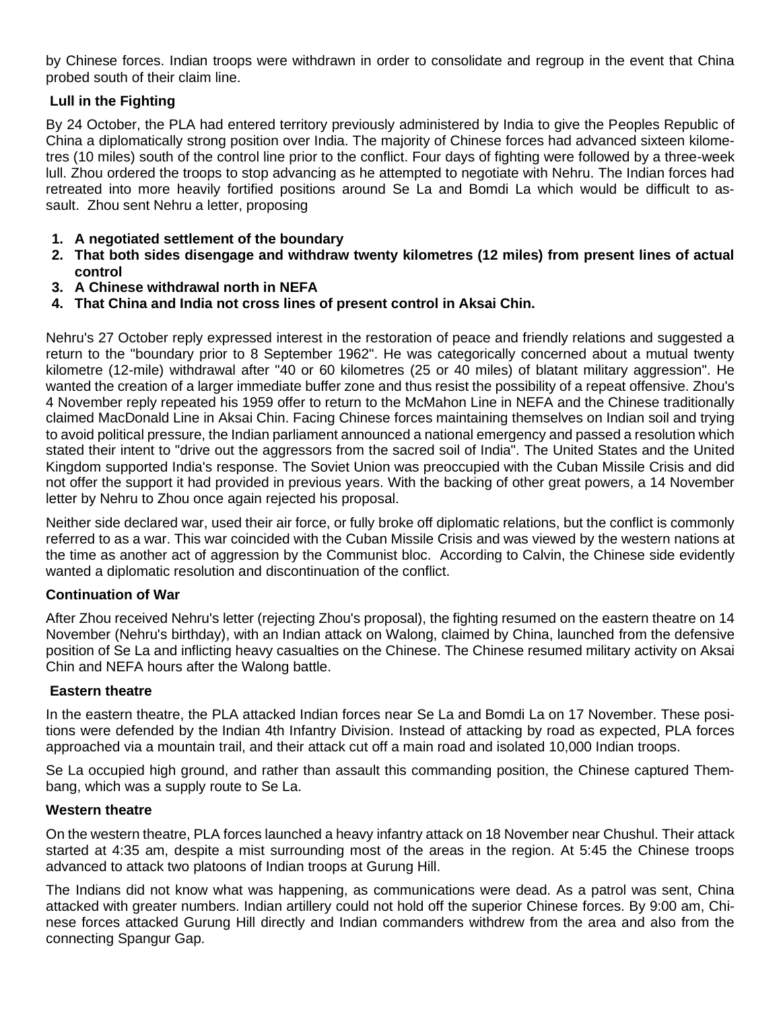by Chinese forces. Indian troops were withdrawn in order to consolidate and regroup in the event that China probed south of their claim line.

### **Lull in the Fighting**

By 24 October, the PLA had entered territory previously administered by India to give the Peoples Republic of China a diplomatically strong position over India. The majority of Chinese forces had advanced sixteen kilometres (10 miles) south of the control line prior to the conflict. Four days of fighting were followed by a three-week lull. Zhou ordered the troops to stop advancing as he attempted to negotiate with Nehru. The Indian forces had retreated into more heavily fortified positions around Se La and Bomdi La which would be difficult to assault. Zhou sent Nehru a letter, proposing

- **1. A negotiated settlement of the boundary**
- **2. That both sides disengage and withdraw twenty kilometres (12 miles) from present lines of actual control**
- **3. A Chinese withdrawal north in NEFA**
- **4. That China and India not cross lines of present control in Aksai Chin.**

Nehru's 27 October reply expressed interest in the restoration of peace and friendly relations and suggested a return to the "boundary prior to 8 September 1962". He was categorically concerned about a mutual twenty kilometre (12-mile) withdrawal after "40 or 60 kilometres (25 or 40 miles) of blatant military aggression". He wanted the creation of a larger immediate buffer zone and thus resist the possibility of a repeat offensive. Zhou's 4 November reply repeated his 1959 offer to return to the [McMahon Line](https://en.wikipedia.org/wiki/McMahon_Line) in NEFA and the Chinese traditionally claimed [MacDonald Line](https://en.wikipedia.org/wiki/MacDonald_Line) in Aksai Chin. Facing Chinese forces maintaining themselves on Indian soil and trying to avoid political pressure, the Indian parliament announced a national emergency and passed a resolution which stated their intent to "drive out the aggressors from the sacred soil of India". The United States and the United Kingdom supported India's response. The [Soviet Union](https://en.wikipedia.org/wiki/Soviet_Union) was preoccupied with the [Cuban Missile Crisis](https://en.wikipedia.org/wiki/Cuban_Missile_Crisis) and did not offer the support it had provided in previous years. With the backing of other [great powers,](https://en.wikipedia.org/wiki/Great_power) a 14 November letter by Nehru to Zhou once again rejected his proposal.

Neither side declared war, used their air force, or fully broke off diplomatic relations, but the conflict is commonly referred to as a war. This war coincided with the [Cuban Missile Crisis](https://en.wikipedia.org/wiki/Cuban_Missile_Crisis) and was viewed by the western nations at the time as another act of aggression by the Communist bloc. According to Calvin, the Chinese side evidently wanted a diplomatic resolution and discontinuation of the conflict.

### **Continuation of War**

After Zhou received Nehru's letter (rejecting Zhou's proposal), the fighting resumed on the eastern theatre on 14 November (Nehru's birthday), with an Indian attack on Walong, claimed by China, launched from the defensive position of Se La and inflicting heavy casualties on the Chinese. The Chinese resumed military activity on Aksai Chin and NEFA hours after the Walong battle.

### **Eastern theatre**

In the eastern theatre, the PLA attacked Indian forces near [Se La](https://en.wikipedia.org/wiki/Sela_Pass) and [Bomdi La](https://en.wikipedia.org/wiki/Bomdila) on 17 November. These positions were defended by the [Indian 4th Infantry Division.](https://en.wikipedia.org/wiki/Indian_4th_Infantry_Division) Instead of attacking by road as expected, PLA forces approached via a mountain trail, and their attack cut off a main road and isolated 10,000 Indian troops.

Se La occupied high ground, and rather than assault this commanding position, the Chinese captured Thembang, which was a supply route to Se La.

### **Western theatre**

On the western theatre, PLA forces launched a heavy infantry attack on 18 November near Chushul. Their attack started at 4:35 am, despite a mist surrounding most of the areas in the region. At 5:45 the Chinese troops advanced to attack two [platoons](https://en.wikipedia.org/wiki/Platoon) of Indian troops at [Gurung Hill.](https://en.wikipedia.org/wiki/Gurung_Hill)

The Indians did not know what was happening, as communications were dead. As a patrol was sent, China attacked with greater numbers. Indian artillery could not hold off the superior Chinese forces. By 9:00 am, Chinese forces attacked Gurung Hill directly and Indian commanders withdrew from the area and also from the connecting [Spangur Gap.](https://en.wikipedia.org/wiki/Spangur_Gap)